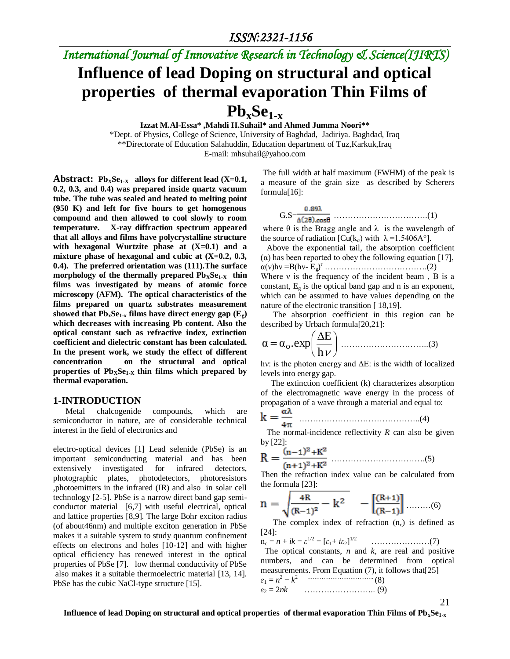## *International Journal of Innovative Research in Technology & Science(IJIRTS)*

# **Influence of lead Doping on structural and optical properties of thermal evaporation Thin Films of**   $Pb_xSe_{1-x}$

**Izzat M.Al-Essa\* ,Mahdi H.Suhail\* and Ahmed Jumma Noori\*\***

\*Dept. of Physics, College of Science, University of Baghdad, Jadiriya. Baghdad, Iraq \*\*Directorate of Education Salahuddin, Education department of Tuz,Karkuk,Iraq E-mail: mhsuhail@yahoo.com

**Abstract:**  $\text{Ph}_X\text{Se}_{1-X}$  alloys for different lead (X=0.1, **0.2, 0.3, and 0.4) was prepared inside quartz vacuum tube. The tube was sealed and heated to melting point (950 K) and left for five hours to get homogenous compound and then allowed to cool slowly to room temperature. X-ray diffraction spectrum appeared that all alloys and films have polycrystalline structure with hexagonal Wurtzite phase at (X=0.1) and a mixture phase of hexagonal and cubic at (X=0.2, 0.3, 0.4). The preferred orientation was (111).The surface morphology of the thermally prepared**  $\text{Pb}_x\text{Se}_{1-x}$  **thin films was investigated by means of atomic force microscopy (AFM). The optical characteristics of the films prepared on quartz substrates measurement**  showed that  $Pb_xSe_{1-x}$  films have direct energy gap  $(E_\sigma)$ **which decreases with increasing Pb content. Also the optical constant such as refractive index, extinction coefficient and dielectric constant has been calculated. In the present work, we study the effect of different concentration on the structural and optical**  properties of  $Pb_XSe_{1.X}$  thin films which prepared by **thermal evaporation.**

#### **1-INTRODUCTION**

 Metal chalcogenide compounds, which are semiconductor in nature, are of considerable technical interest in the field of electronics and

electro-optical devices [1] Lead selenide (PbSe) is an important semiconducting material and has been extensively investigated for infrared detectors, photographic plates, photodetectors, photoresistors ,photoemitters in the infrared (IR) and also in solar cell technology [2-5]. PbSe is a narrow direct band gap semiconductor material [6,7] with useful electrical, optical and lattice properties [8,9]. The large Bohr exciton radius (of about46nm) and multiple exciton generation in PbSe makes it a suitable system to study quantum confinement effects on electrons and holes [10-12] and with higher optical efficiency has renewed interest in the optical properties of PbSe [7]. low thermal conductivity of PbSe also makes it a suitable thermoelectric material [13, 14]. PbSe has the cubic NaCl-type structure [15].

The full width at half maximum (FWHM) of the peak is a measure of the grain size as described by Scherers formula[16]:

G.S= …………………………….(1)

where  $\theta$  is the Bragg angle and  $\lambda$  is the wavelength of the source of radiation  $[Cu(k_{\alpha})$  with  $\lambda = 1.5406A^{\circ}]$ .

 Above the exponential tail, the absorption coefficient ( $\alpha$ ) has been reported to obey the following equation [17], α(ν)hν =B(hν- Eg) <sup>r</sup> ……………………………….(2) Where  $v$  is the frequency of the incident beam. B is a constant,  $E_g$  is the optical band gap and n is an exponent, which can be assumed to have values depending on the nature of the electronic transition [18,19].

 The absorption coefficient in this region can be described by Urbach formula[20,21]:

 h E α α<sup>o</sup> .exp …………………………..(3)

hν: is the photon energy and ΔE: is the width of localized levels into energy gap.

 The extinction coefficient (k) characterizes absorption of the electromagnetic wave energy in the process of propagation of a wave through a material and equal to:

$$
k = \frac{\alpha \lambda}{4\pi} \quad \dots \quad \dots \quad \dots \quad \dots \quad \dots \quad \dots \quad (4)
$$

 The normal-incidence reflectivity *R* can also be given by [22]:

$$
R = \frac{(n-1)^2 + K^2}{(n+1)^2 + K^2}
$$
 (5)

Then the refraction index value can be calculated from the formula [23]:

$$
n = \sqrt{\frac{{}^{4}R}{(R-1)^{2}} - k^{2}} \quad - \left[\frac{(R+1)}{(R-1)}\right] \dots \dots \dots (6)
$$

The complex index of refraction  $(n_c)$  is defined as [24]:

n<sup>c</sup> = *n* + *ik* = *ε* 1*/*2 = [*ε*1+ *iε*2] 1*/*2 …………………(7) The optical constants, *n* and *k*, are real and positive numbers, and can be determined from optical

measurements. From Equation (7), it follows that[25]

$$
\varepsilon_1 = n^2 - k^2 \tag{8}
$$
  
\n
$$
\varepsilon_2 = 2nk \tag{9}
$$

21

**Influence of lead Doping on structural and optical properties of thermal evaporation Thin Films of PbxSe1-x**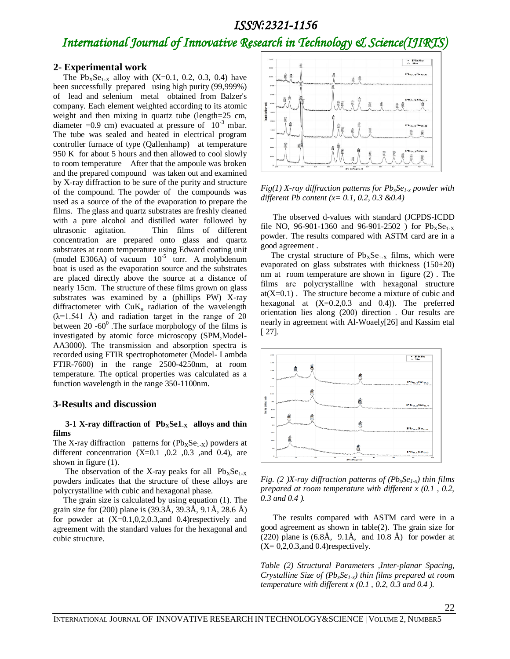### *International Journal of Innovative Research in Technology & Science(IJIRTS)*

#### **2- Experimental work**

The  $Pb_XSe_{1-X}$  alloy with  $(X=0.1, 0.2, 0.3, 0.4)$  have been successfully prepared using high purity (99,999%) of lead and selenium metal obtained from Balzer's company. Each element weighted according to its atomic weight and then mixing in quartz tube (length=25 cm, diameter =0.9 cm) evacuated at pressure of  $10^{-3}$  mbar. The tube was sealed and heated in electrical program controller furnace of type (Qallenhamp) at temperature 950 K for about 5 hours and then allowed to cool slowly to room temperature After that the ampoule was broken and the prepared compound was taken out and examined by X-ray diffraction to be sure of the purity and structure of the compound. The powder of the compounds was used as a source of the of the evaporation to prepare the films. The glass and quartz substrates are freshly cleaned with a pure alcohol and distilled water followed by ultrasonic agitation. Thin films of different concentration are prepared onto glass and quartz substrates at room temperature using Edward coating unit (model E306A) of vacuum  $10^{-5}$  torr. A molybdenum boat is used as the evaporation source and the substrates are placed directly above the source at a distance of nearly 15cm. The structure of these films grown on glass substrates was examined by a (phillips PW) X-ray diffractometer with  $CuK_a$  radiation of the wavelength  $(\lambda=1.541 \text{ Å})$  and radiation target in the range of 2 $\theta$ between  $20 -60^0$ . The surface morphology of the films is investigated by atomic force microscopy (SPM,Model-AA3000). The transmission and absorption spectra is recorded using FTIR spectrophotometer (Model- Lambda FTIR-7600) in the range 2500-4250nm, at room temperature. The optical properties was calculated as a function wavelength in the range 350-1100nm.

#### **3-Results and discussion**

#### **3-1 X-ray diffraction of PbXSe1-X alloys and thin films**

The X-ray diffraction patterns for  $(Pb_XSe_{1-X})$  powders at different concentration  $(X=0.1, 0.2, 0.3, 0.4)$ , are shown in figure (1).

The observation of the X-ray peaks for all  $Pb_XSe_{1-X}$ powders indicates that the structure of these alloys are polycrystalline with cubic and hexagonal phase.

 The grain size is calculated by using equation (1). The grain size for (200) plane is (39.3Å, 39.3Å, 9.1Å, 28.6 Å) for powder at  $(X=0.1,0,2,0.3,and 0.4)$ respectively and agreement with the standard values for the hexagonal and cubic structure.



*Fig(1) X-ray diffraction patterns for PbxSe1-x powder with different Pb content (x= 0.1, 0.2, 0.3 &0.4)*

 The observed d-values with standard (JCPDS-ICDD file NO, 96-901-1360 and 96-901-2502) for  $Pb_xSe_{1.x}$ powder. The results compared with ASTM card are in a good agreement .

The crystal structure of  $Pb_XSe_{1-X}$  films, which were evaporated on glass substrates with thickness  $(150\pm20)$ nm at room temperature are shown in figure (2) . The films are polycrystalline with hexagonal structure  $at(X=0.1)$ . The structure become a mixture of cubic and hexagonal at  $(X=0.2,0.3$  and  $0.4)$ ). The preferred orientation lies along (200) direction . Our results are nearly in agreement with Al-Woaely[26] and Kassim etal [ 27].



*Fig. (2 )X-ray diffraction patterns of (PbxSe1-x) thin films prepared at room temperature with different x (0.1 , 0.2, 0.3 and 0.4 ).*

 The results compared with ASTM card were in a good agreement as shown in table(2). The grain size for  $(220)$  plane is  $(6.8\text{\AA}, 9.1\text{\AA}, \text{ and } 10.8 \text{\AA})$  for powder at  $(X= 0, 2, 0.3, and 0.4)$ respectively.

*Table (2) Structural Parameters ,Inter-planar Spacing, Crystalline Size of (PbxSe1-x) thin films prepared at room temperature with different x (0.1 , 0.2, 0.3 and 0.4 ).*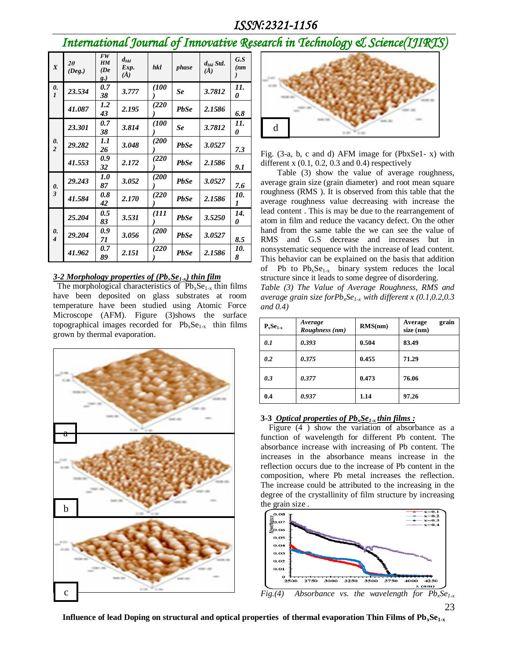*International Journal of Innovative Research in Technology & Science(IJIRTS)*

| $\boldsymbol{X}$        | $2\theta$<br>(Deg.) | <b>FW</b><br>HM<br>(De<br>g.) | $d_{hkl}$<br>Exp.<br>$(\check{A})$ | hkl   | phase       | $d_{hkl}$ Std.<br>$(\AA)$ | G.S<br>(nm) |
|-------------------------|---------------------|-------------------------------|------------------------------------|-------|-------------|---------------------------|-------------|
| 0.<br>$\boldsymbol{l}$  | 23.534              | 0.7<br>38                     | 3.777                              | (100) | Se          | 3.7812                    | 11.<br>0    |
|                         | 41.087              | 1.2<br>43                     | 2.195                              | (220) | <b>PbSe</b> | 2.1586                    | 6.8         |
|                         | 23.301              | 0.7<br>38                     | 3.814                              | (100) | Se          | 3.7812                    | 11.<br>0    |
| 0.<br>$\overline{2}$    | 29.282              | 1.1<br>26                     | 3.048                              | (200  | <b>PbSe</b> | 3.0527                    | 7.3         |
|                         | 41.553              | 0.9<br>32                     | 2.172                              | (220  | <b>PbSe</b> | 2.1586                    | 9.1         |
| 0.                      | 29.243              | 1.0<br>87                     | 3.052                              | (200  | <b>PbSe</b> | 3.0527                    | 7.6         |
| $\overline{\mathbf{3}}$ | 41.584              | 0.8<br>42                     | 2.170                              | (220  | <b>PbSe</b> | 2.1586                    | 10.<br>1    |
| 0.<br>$\overline{4}$    | 25.204              | 0.5<br>83                     | 3.531                              | (111  | <b>PbSe</b> | 3.5250                    | 14.<br>0    |
|                         | 29.204              | 0.9<br>71                     | 3.056                              | (200  | <b>PbSe</b> | 3.0527                    | 8.5         |
|                         | 41.962              | 0.7<br>89                     | 2.151                              | (220  | <b>PbSe</b> | 2.1586                    | 10.<br>8    |

#### *3-2 Morphology properties of (PbxSe1-x) thin film*

The morphological characteristics of  $Pb_xSe_{1-x}$  thin films have been deposited on glass substrates at room temperature have been studied using Atomic Force Microscope (AFM). Figure (3)shows the surface topographical images recorded for  $Pb_xSe_{1-x}$  thin films grown by thermal evaporation.





Fig. (3-a, b, c and d) AFM image for (PbxSe1- x) with different  $x(0.1, 0.2, 0.3, and 0.4)$  respectively

 Table (3) show the value of average roughness, average grain size (grain diameter) and root mean square roughness (RMS ). It is observed from this table that the average roughness value decreasing with increase the lead content . This is may be due to the rearrangement of atom in film and reduce the vacancy defect. On the other hand from the same table the we can see the value of RMS and G.S decrease and increases but in nonsystematic sequence with the increase of lead content. This behavior can be explained on the basis that addition of Pb to  $Pb_xSe_{1-x}$  binary system reduces the local structure since it leads to some degree of disordering.

*Table (3) The Value of Average Roughness, RMS and average grain size forPbxSe1-x with different x (0.1,0.2,0.3 and 0.4)*

| $P_x$ Se <sub>1-x</sub> | Average<br>Roughness (nm) | RMS(nm) | grain<br>Average<br>size (nm) |
|-------------------------|---------------------------|---------|-------------------------------|
| 0.1                     | 0.393                     | 0.504   | 83.49                         |
| 0.2                     | 0.375                     | 0.455   | 71.29                         |
| 0.3                     | 0.377                     | 0.473   | 76.06                         |
| 0.4                     | 0.937                     | 1.14    | 97.26                         |

#### **3-3** *Optical properties of PbxSe1-x thin films :*

 Figure (4 ) show the variation of absorbance as a function of wavelength for different Pb content. The absorbance increase with increasing of Pb content. The increases in the absorbance means increase in the reflection occurs due to the increase of Pb content in the composition, where Pb metal increases the reflection. The increase could be attributed to the increasing in the degree of the crystallinity of film structure by increasing the grain size .



<sup>23</sup> *Fig.(4) Absorbance vs. the wavelength for PbxSe1-x*

**Influence of lead Doping on structural and optical properties of thermal evaporation Thin Films of PbxSe1-x**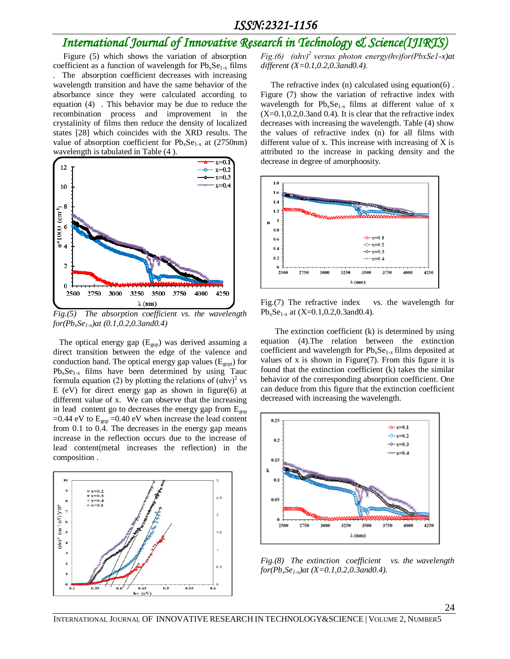## *International Journal of Innovative Research in Technology & Science(IJIRTS)*

 Figure (5) which shows the variation of absorption coefficient as a function of wavelength for  $Pb_xSe_{1-x}$  films . The absorption coefficient decreases with increasing wavelength transition and have the same behavior of the absorbance since they were calculated according to equation (4) . This behavior may be due to reduce the recombination process and improvement in the crystalinity of films then reduce the density of localized states [28] which coincides with the XRD results. The value of absorption coefficient for  $Pb_xSe_{1-x}$  at (2750nm) wavelength is tabulated in Table (4 ).



*Fig.(5) The absorption coefficient vs. the wavelength for(PbxSe1-x)at (0.1,0.2,0.3and0.4)*

The optical energy gap  $(E_{\text{gop}})$  was derived assuming a direct transition between the edge of the valence and conduction band. The optical energy gap values  $(E_{\text{cont}})$  for  $Pb_xSe_{1-x}$  films have been determined by using Tauc formula equation (2) by plotting the relations of  $(ahv)^2$  vs E (eV) for direct energy gap as shown in figure(6) at different value of x. We can observe that the increasing in lead content go to decreases the energy gap from  $E_{\text{gop}}$ =0.44 eV to  $E_{\text{gop}}$  =0.40 eV when increase the lead content from 0.1 to 0.4. The decreases in the energy gap means increase in the reflection occurs due to the increase of lead content(metal increases the reflection) in the composition .



*Fig.(6) (αhν)<sup>2</sup>versus photon energy(hν)for(PbxSe1-x)at different (X=0.1,0.2,0.3and0.4).*

 The refractive index (n) calculated using equation(6) . Figure (7) show the variation of refractive index with wavelength for  $Pb_xSe_{1-x}$  films at different value of x  $(X=0.1, 0.2, 0.3, 0.4)$ . It is clear that the refractive index decreases with increasing the wavelength. Table (4) show the values of refractive index (n) for all films with different value of  $x$ . This increase with increasing of  $X$  is attributed to the increase in packing density and the decrease in degree of amorphoosity.

![](_page_3_Figure_9.jpeg)

Fig.(7) The refractive index vs. the wavelength for  $Pb_xSe_{1-x}$  at  $(X=0.1, 0.2, 0.3, 0.3, 0.4)$ .

 The extinction coefficient (k) is determined by using equation (4).The relation between the extinction coefficient and wavelength for  $Pb_xSe_{1-x}$  films deposited at values of x is shown in Figure(7). From this figure it is found that the extinction coefficient (k) takes the similar behavior of the corresponding absorption coefficient. One can deduce from this figure that the extinction coefficient decreased with increasing the wavelength.

![](_page_3_Figure_12.jpeg)

*Fig.(8) The extinction coefficient vs. the wavelength for(PbxSe1-x)at (X=0.1,0.2,0.3and0.4).*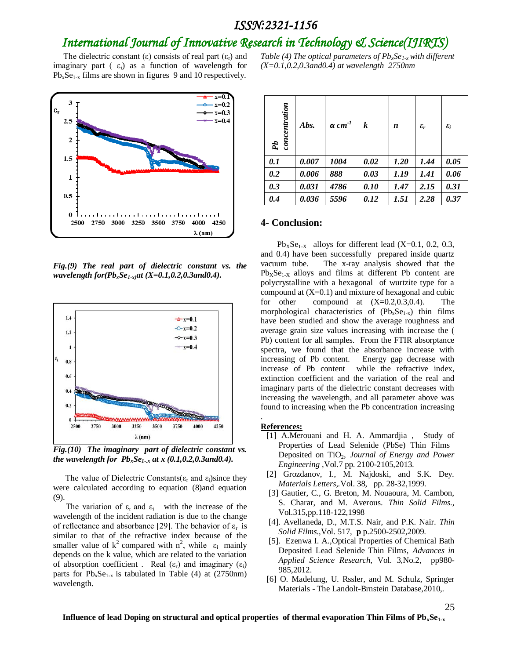## *International Journal of Innovative Research in Technology & Science(IJIRTS)*

The dielectric constant  $(\epsilon)$  consists of real part  $(\epsilon_r)$  and imaginary part ( $\varepsilon_i$ ) as a function of wavelength for  $Pb_xSe_{1-x}$  films are shown in figures 9 and 10 respectively.

![](_page_4_Figure_3.jpeg)

*Fig.(9) The real part of dielectric constant vs. the wavelength for(PbxSe1-x)at (X=0.1,0.2,0.3and0.4).*

![](_page_4_Figure_5.jpeg)

*Fig.(10) The imaginary part of dielectric constant vs. the wavelength for PbxSe1-.x at x (0.1,0.2,0.3and0.4).*

The value of Dielectric Constants( $\varepsilon_r$  and  $\varepsilon_i$ )since they were calculated according to equation (8)and equation (9).

The variation of  $\varepsilon_r$  and  $\varepsilon_i$  with the increase of the wavelength of the incident radiation is due to the change of reflectance and absorbance [29]. The behavior of  $\varepsilon_r$  is similar to that of the refractive index because of the smaller value of  $k^2$  compared with  $n^2$ , while  $\varepsilon_i$  mainly depends on the k value, which are related to the variation of absorption coefficient . Real  $(\varepsilon_r)$  and imaginary  $(\varepsilon_i)$ parts for  $Pb_xSe_{1-x}$  is tabulated in Table (4) at (2750nm) wavelength.

*Table (4) The optical parameters of PbxSe1-x with different (X=0.1,0.2,0.3and0.4) at wavelength 2750nm*

| concentration<br>Pb | Abs.  | $\alpha$ cm <sup>-1</sup> | k    | n    | $\varepsilon_r$ | $\varepsilon_i$ |
|---------------------|-------|---------------------------|------|------|-----------------|-----------------|
| 0.1                 | 0.007 | 1004                      | 0.02 | 1.20 | 1.44            | 0.05            |
| 0.2                 | 0.006 | 888                       | 0.03 | 1.19 | 1.41            | 0.06            |
| 0.3                 | 0.031 | 4786                      | 0.10 | 1.47 | 2.15            | 0.31            |
| 0.4                 | 0.036 | 5596                      | 0.12 | 1.51 | 2.28            | 0.37            |

#### **4- Conclusion:**

 $Pb_XSe_{1-X}$  alloys for different lead (X=0.1, 0.2, 0.3, and 0.4) have been successfully prepared inside quartz vacuum tube. The x-ray analysis showed that the  $Pb_XSe_{1-X}$  alloys and films at different Pb content are polycrystalline with a hexagonal of wurtzite type for a compound at  $(X=0.1)$  and mixture of hexagonal and cubic for other compound at  $(X=0.2, 0.3, 0.4)$ . The morphological characteristics of  $(Pb_xSe_{1-x})$  thin films have been studied and show the average roughness and average grain size values increasing with increase the ( Pb) content for all samples. From the FTIR absorptance spectra, we found that the absorbance increase with increasing of Pb content. Energy gap decrease with increase of Pb content while the refractive index, extinction coefficient and the variation of the real and imaginary parts of the dielectric constant decreases with increasing the wavelength, and all parameter above was found to increasing when the Pb concentration increasing

#### **References:**

.

- [1] A.Merouani and H. A. Ammardjia , Study of Properties of Lead Selenide (PbSe) Thin Films Deposited on TiO<sub>2</sub>, *Journal of Energy and Power Engineering* ,Vol.7 pp. 2100-2105,2013.
- [2] Grozdanov, I., M. Najdoski, and S.K. Dey. *Materials Letters,.*Vol. 38, pp. 28-32,1999.
- [3] Gautier, C., G. Breton, M. Nouaoura, M. Cambon, S. Charar, and M. Averous. *Thin Solid Films.,*  Vol.315,pp.118-122,1998
- [4]. Avellaneda, D., M.T.S. Nair, and P.K. Nair. *Thin Solid Films*.,Vol. 517, **p** p.2500-2502,2009.
- [5]. Ezenwa I. A.,Optical Properties of Chemical Bath Deposited Lead Selenide Thin Films*, Advances in Applied Science Research,* Vol. 3,No.2, pp980- 985,2012.
- [6] O. Madelung, U. Rssler, and M. Schulz, Springer Materials - The Landolt-Brnstein Database,2010,.

25

**Influence of lead Doping on structural and optical properties of thermal evaporation Thin Films of PbxSe1-x**